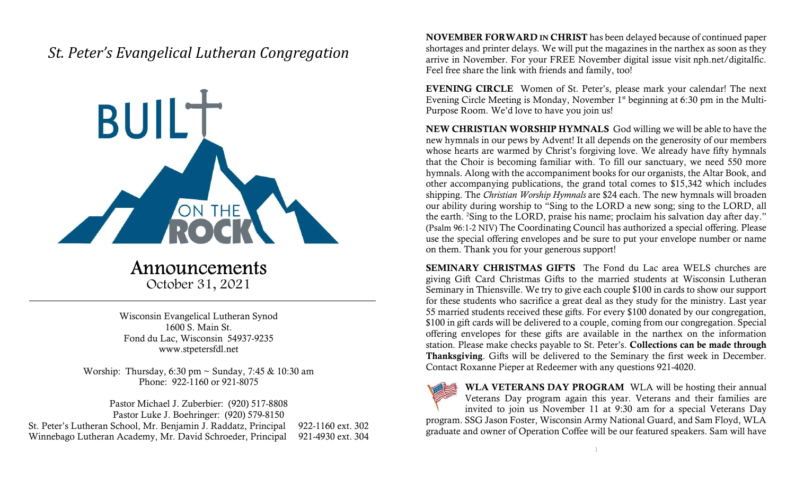## St. Peter's Evangelical Lutheran Congregation



Announcements October 31, 2021

Wisconsin Evangelical Lutheran Synod 1600 S. Main St. Fond du Lac, Wisconsin 54937-9235 www.stpetersfdl.net

Worship: Thursday, 6:30 pm ~ Sunday, 7:45 & 10:30 am Phone: 922-1160 or 921-8075

Pastor Michael J. Zuberbier: (920) 517-8808 Pastor Luke J. Boehringer: (920) 579-8150 St. Peter's Lutheran School, Mr. Benjamin J. Raddatz, Principal 922-1160 ext. 302 Winnebago Lutheran Academy, Mr. David Schroeder, Principal 921-4930 ext. 304 NOVEMBER FORWARD IN CHRIST has been delayed because of continued paper shortages and printer delays. We will put the magazines in the narthex as soon as they arrive in November. For your FREE November digital issue visit nph.net/digitalfic. Feel free share the link with friends and family, too!

EVENING CIRCLE Women of St. Peter's, please mark your calendar! The next Evening Circle Meeting is Monday, November 1<sup>st</sup> beginning at 6:30 pm in the Multi-Purpose Room. We'd love to have you join us!

NEW CHRISTIAN WORSHIP HYMNALS God willing we will be able to have the new hymnals in our pews by Advent! It all depends on the generosity of our members whose hearts are warmed by Christ's forgiving love. We already have fifty hymnals that the Choir is becoming familiar with. To fill our sanctuary, we need 550 more hymnals. Along with the accompaniment books for our organists, the Altar Book, and other accompanying publications, the grand total comes to \$15,342 which includes shipping. The *Christian Worship Hymnals* are \$24 each. The new hymnals will broaden our ability during worship to "Sing to the LORD a new song; sing to the LORD, all the earth. <sup>2</sup>Sing to the LORD, praise his name; proclaim his salvation day after day." (Psalm 96:1-2 NIV) The Coordinating Council has authorized a special offering. Please use the special offering envelopes and be sure to put your envelope number or name on them. Thank you for your generous support!

SEMINARY CHRISTMAS GIFTS The Fond du Lac area WELS churches are giving Gift Card Christmas Gifts to the married students at Wisconsin Lutheran Seminary in Thiensville. We try to give each couple \$100 in cards to show our support for these students who sacrifice a great deal as they study for the ministry. Last year 55 married students received these gifts. For every \$100 donated by our congregation, \$100 in gift cards will be delivered to a couple, coming from our congregation. Special offering envelopes for these gifts are available in the narthex on the information station. Please make checks payable to St. Peter's. Collections can be made through Thanksgiving. Gifts will be delivered to the Seminary the first week in December. Contact Roxanne Pieper at Redeemer with any questions 921-4020.



WLA VETERANS DAY PROGRAM WLA will be hosting their annual Veterans Day program again this year. Veterans and their families are invited to join us November 11 at 9:30 am for a special Veterans Day

program. SSG Jason Foster, Wisconsin Army National Guard, and Sam Floyd, WLA graduate and owner of Operation Coffee will be our featured speakers. Sam will have